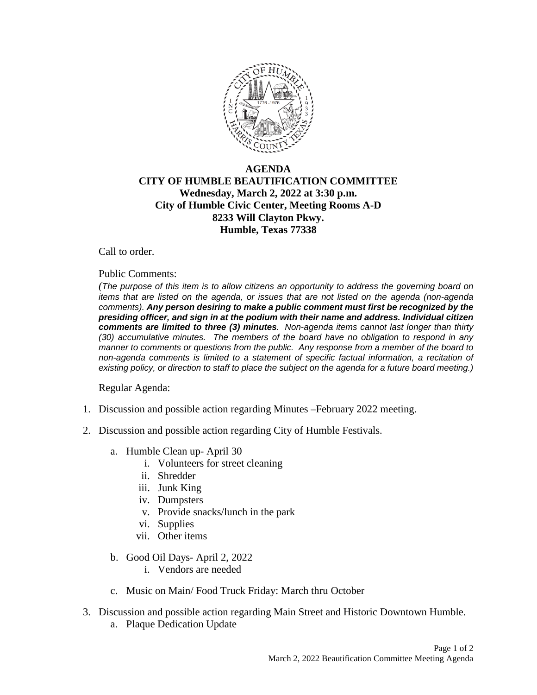

## **AGENDA CITY OF HUMBLE BEAUTIFICATION COMMITTEE Wednesday, March 2, 2022 at 3:30 p.m. City of Humble Civic Center, Meeting Rooms A-D 8233 Will Clayton Pkwy. Humble, Texas 77338**

Call to order.

## Public Comments:

*(The purpose of this item is to allow citizens an opportunity to address the governing board on items that are listed on the agenda, or issues that are not listed on the agenda (non-agenda comments). Any person desiring to make a public comment must first be recognized by the presiding officer, and sign in at the podium with their name and address. Individual citizen comments are limited to three (3) minutes. Non-agenda items cannot last longer than thirty (30) accumulative minutes. The members of the board have no obligation to respond in any manner to comments or questions from the public. Any response from a member of the board to non-agenda comments is limited to a statement of specific factual information, a recitation of existing policy, or direction to staff to place the subject on the agenda for a future board meeting.)* 

Regular Agenda:

- 1. Discussion and possible action regarding Minutes –February 2022 meeting.
- 2. Discussion and possible action regarding City of Humble Festivals.
	- a. Humble Clean up- April 30
		- i. Volunteers for street cleaning
		- ii. Shredder
		- iii. Junk King
		- iv. Dumpsters
		- v. Provide snacks/lunch in the park
		- vi. Supplies
		- vii. Other items
	- b. Good Oil Days- April 2, 2022
		- i. Vendors are needed
	- c. Music on Main/ Food Truck Friday: March thru October
- 3. Discussion and possible action regarding Main Street and Historic Downtown Humble.
	- a. Plaque Dedication Update